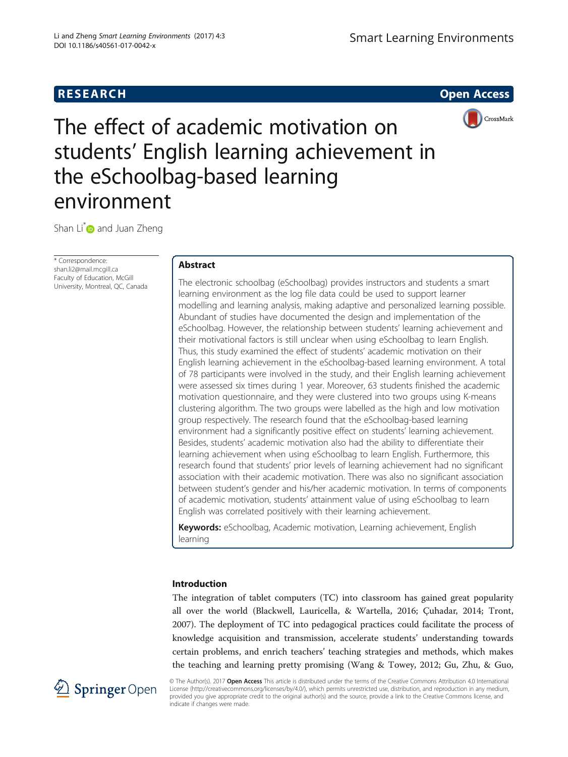

# The effect of academic motivation on students' English learning achievement in the eSchoolbag-based learning environment

Shan  $Li^{\dagger}$  and Juan Zheng

\* Correspondence: [shan.li2@mail.mcgill.ca](mailto:shan.li2@mail.mcgill.ca) Faculty of Education, McGill University, Montreal, QC, Canada

# Abstract

The electronic schoolbag (eSchoolbag) provides instructors and students a smart learning environment as the log file data could be used to support learner modelling and learning analysis, making adaptive and personalized learning possible. Abundant of studies have documented the design and implementation of the eSchoolbag. However, the relationship between students' learning achievement and their motivational factors is still unclear when using eSchoolbag to learn English. Thus, this study examined the effect of students' academic motivation on their English learning achievement in the eSchoolbag-based learning environment. A total of 78 participants were involved in the study, and their English learning achievement were assessed six times during 1 year. Moreover, 63 students finished the academic motivation questionnaire, and they were clustered into two groups using K-means clustering algorithm. The two groups were labelled as the high and low motivation group respectively. The research found that the eSchoolbag-based learning environment had a significantly positive effect on students' learning achievement. Besides, students' academic motivation also had the ability to differentiate their learning achievement when using eSchoolbag to learn English. Furthermore, this research found that students' prior levels of learning achievement had no significant association with their academic motivation. There was also no significant association between student's gender and his/her academic motivation. In terms of components of academic motivation, students' attainment value of using eSchoolbag to learn English was correlated positively with their learning achievement.

Keywords: eSchoolbag, Academic motivation, Learning achievement, English learning

# Introduction

The integration of tablet computers (TC) into classroom has gained great popularity all over the world (Blackwell, Lauricella, & Wartella, [2016](#page-11-0); Çuhadar, [2014](#page-12-0); Tront, [2007](#page-13-0)). The deployment of TC into pedagogical practices could facilitate the process of knowledge acquisition and transmission, accelerate students' understanding towards certain problems, and enrich teachers' teaching strategies and methods, which makes the teaching and learning pretty promising (Wang & Towey, [2012](#page-13-0); Gu, Zhu, & Guo,



© The Author(s). 2017 Open Access This article is distributed under the terms of the Creative Commons Attribution 4.0 International License [\(http://creativecommons.org/licenses/by/4.0/](http://creativecommons.org/licenses/by/4.0/)), which permits unrestricted use, distribution, and reproduction in any medium, provided you give appropriate credit to the original author(s) and the source, provide a link to the Creative Commons license, and indicate if changes were made.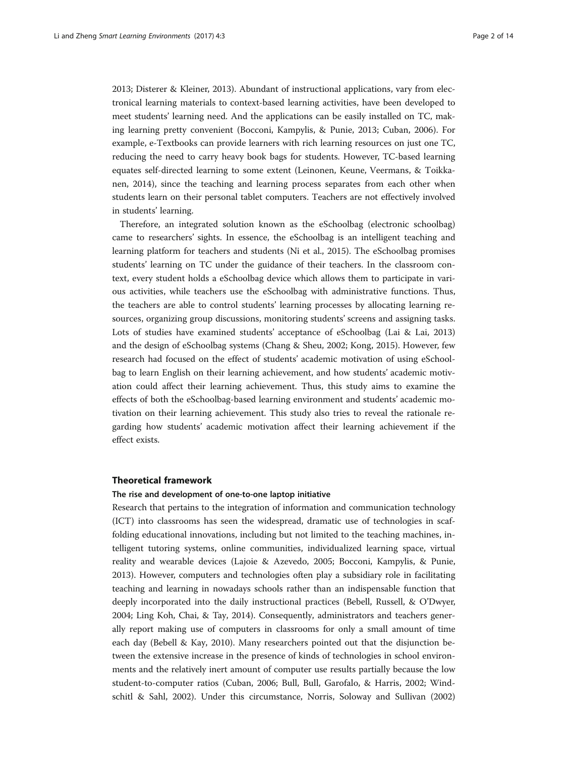[2013](#page-12-0); Disterer & Kleiner, [2013\)](#page-12-0). Abundant of instructional applications, vary from electronical learning materials to context-based learning activities, have been developed to meet students' learning need. And the applications can be easily installed on TC, making learning pretty convenient (Bocconi, Kampylis, & Punie, [2013](#page-11-0); Cuban, [2006](#page-11-0)). For example, e-Textbooks can provide learners with rich learning resources on just one TC, reducing the need to carry heavy book bags for students. However, TC-based learning equates self-directed learning to some extent (Leinonen, Keune, Veermans, & Toikkanen, [2014](#page-12-0)), since the teaching and learning process separates from each other when students learn on their personal tablet computers. Teachers are not effectively involved in students' learning.

Therefore, an integrated solution known as the eSchoolbag (electronic schoolbag) came to researchers' sights. In essence, the eSchoolbag is an intelligent teaching and learning platform for teachers and students (Ni et al., [2015\)](#page-12-0). The eSchoolbag promises students' learning on TC under the guidance of their teachers. In the classroom context, every student holds a eSchoolbag device which allows them to participate in various activities, while teachers use the eSchoolbag with administrative functions. Thus, the teachers are able to control students' learning processes by allocating learning resources, organizing group discussions, monitoring students' screens and assigning tasks. Lots of studies have examined students' acceptance of eSchoolbag (Lai & Lai, [2013](#page-12-0)) and the design of eSchoolbag systems (Chang & Sheu, [2002](#page-11-0); Kong, [2015](#page-12-0)). However, few research had focused on the effect of students' academic motivation of using eSchoolbag to learn English on their learning achievement, and how students' academic motivation could affect their learning achievement. Thus, this study aims to examine the effects of both the eSchoolbag-based learning environment and students' academic motivation on their learning achievement. This study also tries to reveal the rationale regarding how students' academic motivation affect their learning achievement if the effect exists.

### Theoretical framework

### The rise and development of one-to-one laptop initiative

Research that pertains to the integration of information and communication technology (ICT) into classrooms has seen the widespread, dramatic use of technologies in scaffolding educational innovations, including but not limited to the teaching machines, intelligent tutoring systems, online communities, individualized learning space, virtual reality and wearable devices (Lajoie & Azevedo, [2005;](#page-12-0) Bocconi, Kampylis, & Punie, [2013](#page-11-0)). However, computers and technologies often play a subsidiary role in facilitating teaching and learning in nowadays schools rather than an indispensable function that deeply incorporated into the daily instructional practices (Bebell, Russell, & O'Dwyer, [2004](#page-11-0); Ling Koh, Chai, & Tay, [2014\)](#page-12-0). Consequently, administrators and teachers generally report making use of computers in classrooms for only a small amount of time each day (Bebell & Kay, [2010](#page-11-0)). Many researchers pointed out that the disjunction between the extensive increase in the presence of kinds of technologies in school environments and the relatively inert amount of computer use results partially because the low student-to-computer ratios (Cuban, [2006](#page-11-0); Bull, Bull, Garofalo, & Harris, [2002;](#page-11-0) Windschitl & Sahl, [2002](#page-13-0)). Under this circumstance, Norris, Soloway and Sullivan ([2002](#page-12-0))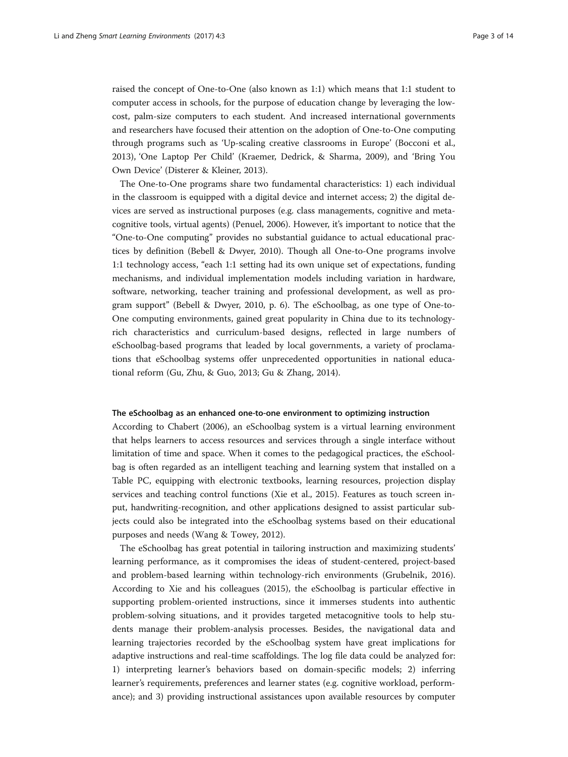raised the concept of One-to-One (also known as 1:1) which means that 1:1 student to computer access in schools, for the purpose of education change by leveraging the lowcost, palm-size computers to each student. And increased international governments and researchers have focused their attention on the adoption of One-to-One computing through programs such as 'Up-scaling creative classrooms in Europe' (Bocconi et al., [2013](#page-11-0)), 'One Laptop Per Child' (Kraemer, Dedrick, & Sharma, [2009](#page-12-0)), and 'Bring You Own Device' (Disterer & Kleiner, [2013\)](#page-12-0).

The One-to-One programs share two fundamental characteristics: 1) each individual in the classroom is equipped with a digital device and internet access; 2) the digital devices are served as instructional purposes (e.g. class managements, cognitive and metacognitive tools, virtual agents) (Penuel, [2006](#page-12-0)). However, it's important to notice that the "One-to-One computing" provides no substantial guidance to actual educational practices by definition (Bebell & Dwyer, [2010\)](#page-11-0). Though all One-to-One programs involve 1:1 technology access, "each 1:1 setting had its own unique set of expectations, funding mechanisms, and individual implementation models including variation in hardware, software, networking, teacher training and professional development, as well as program support" (Bebell & Dwyer, [2010](#page-11-0), p. 6). The eSchoolbag, as one type of One-to-One computing environments, gained great popularity in China due to its technologyrich characteristics and curriculum-based designs, reflected in large numbers of eSchoolbag-based programs that leaded by local governments, a variety of proclamations that eSchoolbag systems offer unprecedented opportunities in national educational reform (Gu, Zhu, & Guo, [2013;](#page-12-0) Gu & Zhang, [2014\)](#page-12-0).

### The eSchoolbag as an enhanced one-to-one environment to optimizing instruction

According to Chabert ([2006](#page-11-0)), an eSchoolbag system is a virtual learning environment that helps learners to access resources and services through a single interface without limitation of time and space. When it comes to the pedagogical practices, the eSchoolbag is often regarded as an intelligent teaching and learning system that installed on a Table PC, equipping with electronic textbooks, learning resources, projection display services and teaching control functions (Xie et al., [2015\)](#page-13-0). Features as touch screen input, handwriting-recognition, and other applications designed to assist particular subjects could also be integrated into the eSchoolbag systems based on their educational purposes and needs (Wang & Towey, [2012\)](#page-13-0).

The eSchoolbag has great potential in tailoring instruction and maximizing students' learning performance, as it compromises the ideas of student-centered, project-based and problem-based learning within technology-rich environments (Grubelnik, [2016](#page-12-0)). According to Xie and his colleagues ([2015](#page-13-0)), the eSchoolbag is particular effective in supporting problem-oriented instructions, since it immerses students into authentic problem-solving situations, and it provides targeted metacognitive tools to help students manage their problem-analysis processes. Besides, the navigational data and learning trajectories recorded by the eSchoolbag system have great implications for adaptive instructions and real-time scaffoldings. The log file data could be analyzed for: 1) interpreting learner's behaviors based on domain-specific models; 2) inferring learner's requirements, preferences and learner states (e.g. cognitive workload, performance); and 3) providing instructional assistances upon available resources by computer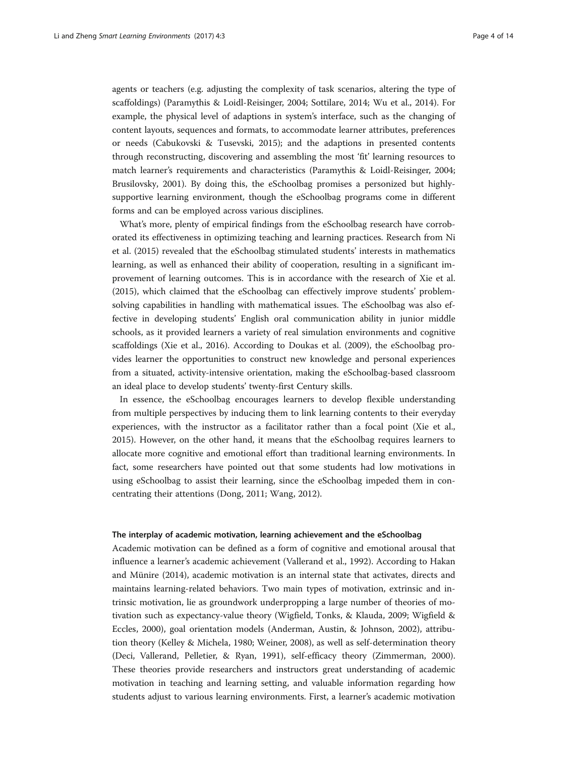agents or teachers (e.g. adjusting the complexity of task scenarios, altering the type of scaffoldings) (Paramythis & Loidl-Reisinger, [2004;](#page-12-0) Sottilare, [2014;](#page-12-0) Wu et al., [2014\)](#page-13-0). For example, the physical level of adaptions in system's interface, such as the changing of content layouts, sequences and formats, to accommodate learner attributes, preferences or needs (Cabukovski & Tusevski, [2015](#page-11-0)); and the adaptions in presented contents through reconstructing, discovering and assembling the most 'fit' learning resources to match learner's requirements and characteristics (Paramythis & Loidl-Reisinger, [2004](#page-12-0); Brusilovsky, [2001](#page-11-0)). By doing this, the eSchoolbag promises a personized but highlysupportive learning environment, though the eSchoolbag programs come in different forms and can be employed across various disciplines.

What's more, plenty of empirical findings from the eSchoolbag research have corroborated its effectiveness in optimizing teaching and learning practices. Research from Ni et al. ([2015\)](#page-12-0) revealed that the eSchoolbag stimulated students' interests in mathematics learning, as well as enhanced their ability of cooperation, resulting in a significant improvement of learning outcomes. This is in accordance with the research of Xie et al. ([2015](#page-13-0)), which claimed that the eSchoolbag can effectively improve students' problemsolving capabilities in handling with mathematical issues. The eSchoolbag was also effective in developing students' English oral communication ability in junior middle schools, as it provided learners a variety of real simulation environments and cognitive scaffoldings (Xie et al., [2016\)](#page-13-0). According to Doukas et al. ([2009](#page-12-0)), the eSchoolbag provides learner the opportunities to construct new knowledge and personal experiences from a situated, activity-intensive orientation, making the eSchoolbag-based classroom an ideal place to develop students' twenty-first Century skills.

In essence, the eSchoolbag encourages learners to develop flexible understanding from multiple perspectives by inducing them to link learning contents to their everyday experiences, with the instructor as a facilitator rather than a focal point (Xie et al., [2015](#page-13-0)). However, on the other hand, it means that the eSchoolbag requires learners to allocate more cognitive and emotional effort than traditional learning environments. In fact, some researchers have pointed out that some students had low motivations in using eSchoolbag to assist their learning, since the eSchoolbag impeded them in concentrating their attentions (Dong, [2011;](#page-12-0) Wang, [2012](#page-13-0)).

### The interplay of academic motivation, learning achievement and the eSchoolbag

Academic motivation can be defined as a form of cognitive and emotional arousal that influence a learner's academic achievement (Vallerand et al., [1992](#page-13-0)). According to Hakan and Münire [\(2014\)](#page-12-0), academic motivation is an internal state that activates, directs and maintains learning-related behaviors. Two main types of motivation, extrinsic and intrinsic motivation, lie as groundwork underpropping a large number of theories of motivation such as expectancy-value theory (Wigfield, Tonks, & Klauda, [2009;](#page-13-0) Wigfield & Eccles, [2000\)](#page-13-0), goal orientation models (Anderman, Austin, & Johnson, [2002](#page-11-0)), attribution theory (Kelley & Michela, [1980](#page-12-0); Weiner, [2008\)](#page-13-0), as well as self-determination theory (Deci, Vallerand, Pelletier, & Ryan, [1991](#page-12-0)), self-efficacy theory (Zimmerman, [2000](#page-13-0)). These theories provide researchers and instructors great understanding of academic motivation in teaching and learning setting, and valuable information regarding how students adjust to various learning environments. First, a learner's academic motivation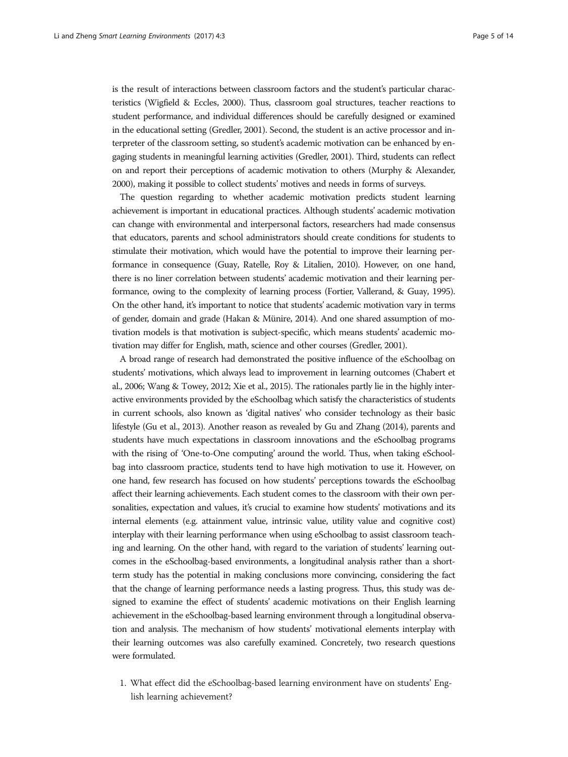is the result of interactions between classroom factors and the student's particular characteristics (Wigfield & Eccles, [2000\)](#page-13-0). Thus, classroom goal structures, teacher reactions to student performance, and individual differences should be carefully designed or examined in the educational setting (Gredler, [2001](#page-12-0)). Second, the student is an active processor and interpreter of the classroom setting, so student's academic motivation can be enhanced by engaging students in meaningful learning activities (Gredler, [2001\)](#page-12-0). Third, students can reflect on and report their perceptions of academic motivation to others (Murphy & Alexander, [2000\)](#page-12-0), making it possible to collect students' motives and needs in forms of surveys.

The question regarding to whether academic motivation predicts student learning achievement is important in educational practices. Although students' academic motivation can change with environmental and interpersonal factors, researchers had made consensus that educators, parents and school administrators should create conditions for students to stimulate their motivation, which would have the potential to improve their learning performance in consequence (Guay, Ratelle, Roy & Litalien, [2010\)](#page-12-0). However, on one hand, there is no liner correlation between students' academic motivation and their learning performance, owing to the complexity of learning process (Fortier, Vallerand, & Guay, [1995](#page-12-0)). On the other hand, it's important to notice that students' academic motivation vary in terms of gender, domain and grade (Hakan & Münire, [2014\)](#page-12-0). And one shared assumption of motivation models is that motivation is subject-specific, which means students' academic motivation may differ for English, math, science and other courses (Gredler, [2001](#page-12-0)).

A broad range of research had demonstrated the positive influence of the eSchoolbag on students' motivations, which always lead to improvement in learning outcomes (Chabert et al., [2006;](#page-11-0) Wang & Towey, [2012;](#page-13-0) Xie et al., [2015](#page-13-0)). The rationales partly lie in the highly interactive environments provided by the eSchoolbag which satisfy the characteristics of students in current schools, also known as 'digital natives' who consider technology as their basic lifestyle (Gu et al., [2013](#page-12-0)). Another reason as revealed by Gu and Zhang [\(2014](#page-12-0)), parents and students have much expectations in classroom innovations and the eSchoolbag programs with the rising of 'One-to-One computing' around the world. Thus, when taking eSchoolbag into classroom practice, students tend to have high motivation to use it. However, on one hand, few research has focused on how students' perceptions towards the eSchoolbag affect their learning achievements. Each student comes to the classroom with their own personalities, expectation and values, it's crucial to examine how students' motivations and its internal elements (e.g. attainment value, intrinsic value, utility value and cognitive cost) interplay with their learning performance when using eSchoolbag to assist classroom teaching and learning. On the other hand, with regard to the variation of students' learning outcomes in the eSchoolbag-based environments, a longitudinal analysis rather than a shortterm study has the potential in making conclusions more convincing, considering the fact that the change of learning performance needs a lasting progress. Thus, this study was designed to examine the effect of students' academic motivations on their English learning achievement in the eSchoolbag-based learning environment through a longitudinal observation and analysis. The mechanism of how students' motivational elements interplay with their learning outcomes was also carefully examined. Concretely, two research questions were formulated.

1. What effect did the eSchoolbag-based learning environment have on students' English learning achievement?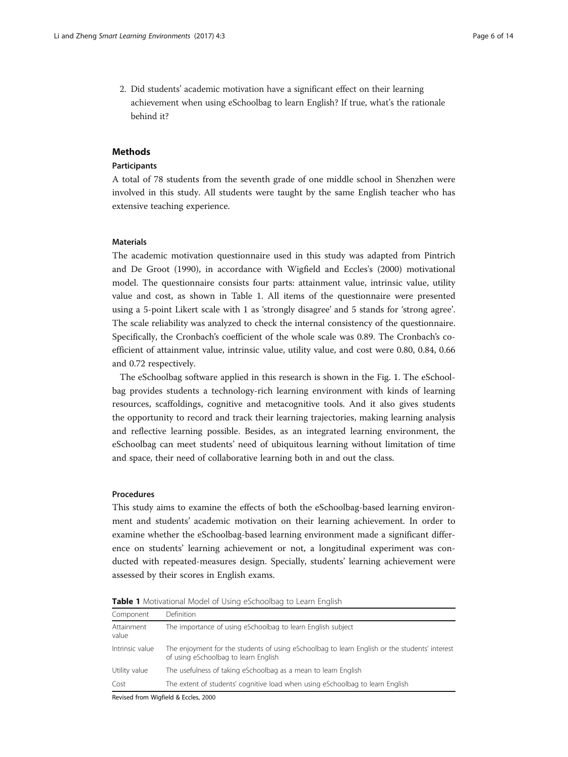2. Did students' academic motivation have a significant effect on their learning achievement when using eSchoolbag to learn English? If true, what's the rationale behind it?

### Methods

### Participants

A total of 78 students from the seventh grade of one middle school in Shenzhen were involved in this study. All students were taught by the same English teacher who has extensive teaching experience.

### Materials

The academic motivation questionnaire used in this study was adapted from Pintrich and De Groot ([1990](#page-12-0)), in accordance with Wigfield and Eccles's ([2000\)](#page-13-0) motivational model. The questionnaire consists four parts: attainment value, intrinsic value, utility value and cost, as shown in Table 1. All items of the questionnaire were presented using a 5-point Likert scale with 1 as 'strongly disagree' and 5 stands for 'strong agree'. The scale reliability was analyzed to check the internal consistency of the questionnaire. Specifically, the Cronbach's coefficient of the whole scale was 0.89. The Cronbach's coefficient of attainment value, intrinsic value, utility value, and cost were 0.80, 0.84, 0.66 and 0.72 respectively.

The eSchoolbag software applied in this research is shown in the Fig. [1.](#page-6-0) The eSchoolbag provides students a technology-rich learning environment with kinds of learning resources, scaffoldings, cognitive and metacognitive tools. And it also gives students the opportunity to record and track their learning trajectories, making learning analysis and reflective learning possible. Besides, as an integrated learning environment, the eSchoolbag can meet students' need of ubiquitous learning without limitation of time and space, their need of collaborative learning both in and out the class.

### Procedures

This study aims to examine the effects of both the eSchoolbag-based learning environment and students' academic motivation on their learning achievement. In order to examine whether the eSchoolbag-based learning environment made a significant difference on students' learning achievement or not, a longitudinal experiment was conducted with repeated-measures design. Specially, students' learning achievement were assessed by their scores in English exams.

| Component           | Definition                                                                                                                            |
|---------------------|---------------------------------------------------------------------------------------------------------------------------------------|
| Attainment<br>value | The importance of using eSchoolbag to learn English subject                                                                           |
| Intrinsic value     | The enjoyment for the students of using eSchoolbag to learn English or the students' interest<br>of using eSchoolbag to learn English |
| Utility value       | The usefulness of taking eSchoolbag as a mean to learn English                                                                        |
| Cost                | The extent of students' cognitive load when using eSchoolbag to learn English                                                         |

Table 1 Motivational Model of Using eSchoolbag to Learn English

Revised from Wigfield & Eccles, [2000](#page-13-0)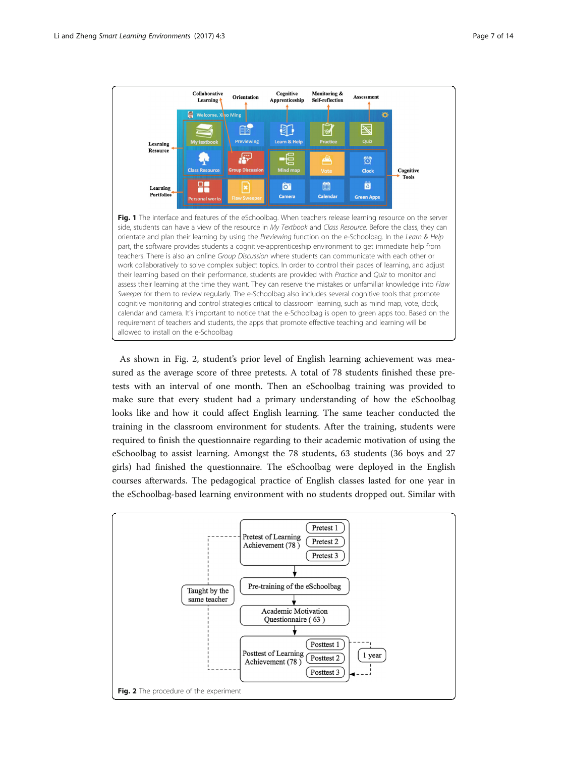<span id="page-6-0"></span>

As shown in Fig. 2, student's prior level of English learning achievement was measured as the average score of three pretests. A total of 78 students finished these pretests with an interval of one month. Then an eSchoolbag training was provided to make sure that every student had a primary understanding of how the eSchoolbag looks like and how it could affect English learning. The same teacher conducted the training in the classroom environment for students. After the training, students were required to finish the questionnaire regarding to their academic motivation of using the eSchoolbag to assist learning. Amongst the 78 students, 63 students (36 boys and 27 girls) had finished the questionnaire. The eSchoolbag were deployed in the English courses afterwards. The pedagogical practice of English classes lasted for one year in the eSchoolbag-based learning environment with no students dropped out. Similar with

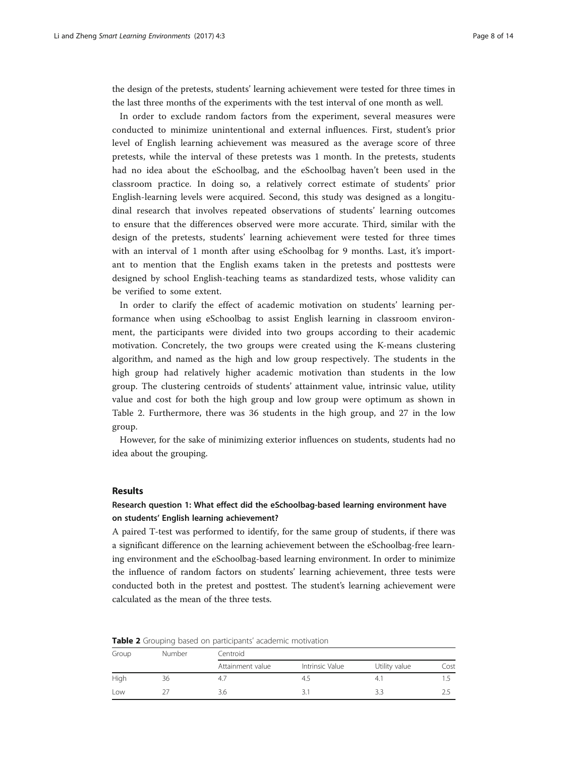the design of the pretests, students' learning achievement were tested for three times in the last three months of the experiments with the test interval of one month as well.

In order to exclude random factors from the experiment, several measures were conducted to minimize unintentional and external influences. First, student's prior level of English learning achievement was measured as the average score of three pretests, while the interval of these pretests was 1 month. In the pretests, students had no idea about the eSchoolbag, and the eSchoolbag haven't been used in the classroom practice. In doing so, a relatively correct estimate of students' prior English-learning levels were acquired. Second, this study was designed as a longitudinal research that involves repeated observations of students' learning outcomes to ensure that the differences observed were more accurate. Third, similar with the design of the pretests, students' learning achievement were tested for three times with an interval of 1 month after using eSchoolbag for 9 months. Last, it's important to mention that the English exams taken in the pretests and posttests were designed by school English-teaching teams as standardized tests, whose validity can be verified to some extent.

In order to clarify the effect of academic motivation on students' learning performance when using eSchoolbag to assist English learning in classroom environment, the participants were divided into two groups according to their academic motivation. Concretely, the two groups were created using the K-means clustering algorithm, and named as the high and low group respectively. The students in the high group had relatively higher academic motivation than students in the low group. The clustering centroids of students' attainment value, intrinsic value, utility value and cost for both the high group and low group were optimum as shown in Table 2. Furthermore, there was 36 students in the high group, and 27 in the low group.

However, for the sake of minimizing exterior influences on students, students had no idea about the grouping.

### Results

## Research question 1: What effect did the eSchoolbag-based learning environment have on students' English learning achievement?

A paired T-test was performed to identify, for the same group of students, if there was a significant difference on the learning achievement between the eSchoolbag-free learning environment and the eSchoolbag-based learning environment. In order to minimize the influence of random factors on students' learning achievement, three tests were conducted both in the pretest and posttest. The student's learning achievement were calculated as the mean of the three tests.

| Group | Number | Centroid         |                 |               |      |  |  |
|-------|--------|------------------|-----------------|---------------|------|--|--|
|       |        | Attainment value | Intrinsic Value | Utility value | Cost |  |  |
| High  | 36     | 4.7              | 4.5             | 4.            |      |  |  |
| Low   |        | 3.6              | 3.1             | 3.3           |      |  |  |

Table 2 Grouping based on participants' academic motivation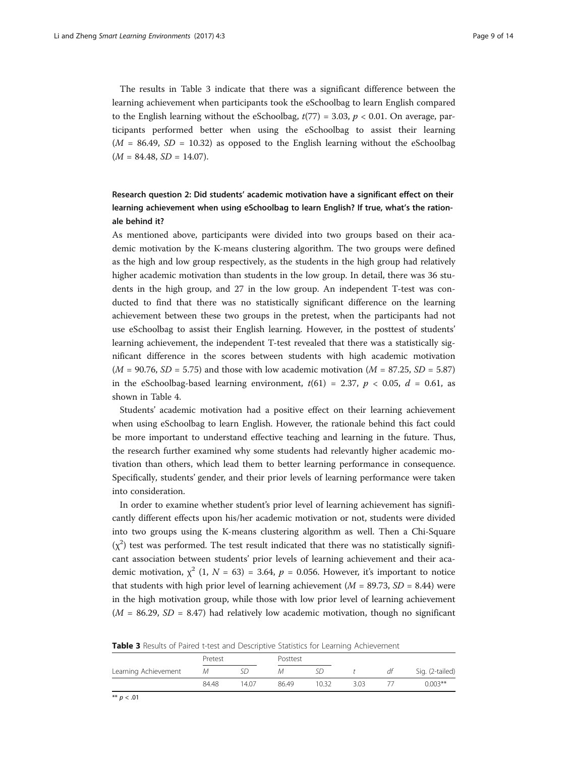The results in Table 3 indicate that there was a significant difference between the learning achievement when participants took the eSchoolbag to learn English compared to the English learning without the eSchoolbag,  $t(77) = 3.03$ ,  $p < 0.01$ . On average, participants performed better when using the eSchoolbag to assist their learning  $(M = 86.49, SD = 10.32)$  as opposed to the English learning without the eSchoolbag  $(M = 84.48, SD = 14.07).$ 

# Research question 2: Did students' academic motivation have a significant effect on their learning achievement when using eSchoolbag to learn English? If true, what's the rationale behind it?

As mentioned above, participants were divided into two groups based on their academic motivation by the K-means clustering algorithm. The two groups were defined as the high and low group respectively, as the students in the high group had relatively higher academic motivation than students in the low group. In detail, there was 36 students in the high group, and 27 in the low group. An independent T-test was conducted to find that there was no statistically significant difference on the learning achievement between these two groups in the pretest, when the participants had not use eSchoolbag to assist their English learning. However, in the posttest of students' learning achievement, the independent T-test revealed that there was a statistically significant difference in the scores between students with high academic motivation  $(M = 90.76, SD = 5.75)$  and those with low academic motivation  $(M = 87.25, SD = 5.87)$ in the eSchoolbag-based learning environment,  $t(61) = 2.37$ ,  $p < 0.05$ ,  $d = 0.61$ , as shown in Table [4.](#page-9-0)

Students' academic motivation had a positive effect on their learning achievement when using eSchoolbag to learn English. However, the rationale behind this fact could be more important to understand effective teaching and learning in the future. Thus, the research further examined why some students had relevantly higher academic motivation than others, which lead them to better learning performance in consequence. Specifically, students' gender, and their prior levels of learning performance were taken into consideration.

In order to examine whether student's prior level of learning achievement has significantly different effects upon his/her academic motivation or not, students were divided into two groups using the K-means clustering algorithm as well. Then a Chi-Square  $(\chi^2)$  test was performed. The test result indicated that there was no statistically significant association between students' prior levels of learning achievement and their academic motivation,  $\chi^2$  (1, N = 63) = 3.64, p = 0.056. However, it's important to notice that students with high prior level of learning achievement ( $M = 89.73$ ,  $SD = 8.44$ ) were in the high motivation group, while those with low prior level of learning achievement  $(M = 86.29, SD = 8.47)$  had relatively low academic motivation, though no significant

Table 3 Results of Paired t-test and Descriptive Statistics for Learning Achievement

|                      | Pretest |       | Posttest |       |      |    |                 |
|----------------------|---------|-------|----------|-------|------|----|-----------------|
| Learning Achievement | М       |       | М        |       |      | dt | Sig. (2-tailed) |
|                      | 84.48   | 14.07 | 86.49    | 10.32 | 3.03 |    | $0.003**$       |

\*\*  $p < .01$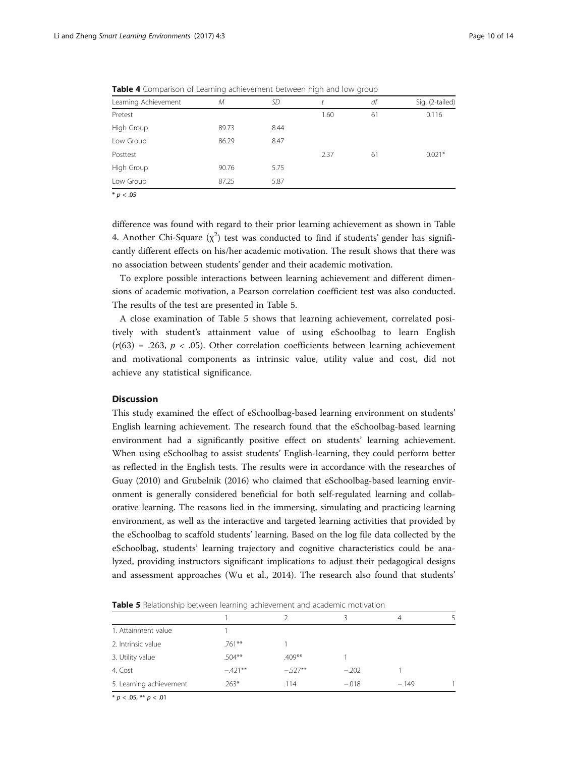| Learning Achievement | M     | SD   |      | df | Sig. (2-tailed) |
|----------------------|-------|------|------|----|-----------------|
| Pretest              |       |      | 1.60 | 61 | 0.116           |
| High Group           | 89.73 | 8.44 |      |    |                 |
| Low Group            | 86.29 | 8.47 |      |    |                 |
| Posttest             |       |      | 2.37 | 61 | $0.021*$        |
| High Group           | 90.76 | 5.75 |      |    |                 |
| Low Group            | 87.25 | 5.87 |      |    |                 |
|                      |       |      |      |    |                 |

<span id="page-9-0"></span>Table 4 Comparison of Learning achievement between high and low group

 $* p < .05$ 

difference was found with regard to their prior learning achievement as shown in Table 4. Another Chi-Square  $(\chi^2)$  test was conducted to find if students' gender has significantly different effects on his/her academic motivation. The result shows that there was no association between students' gender and their academic motivation.

To explore possible interactions between learning achievement and different dimensions of academic motivation, a Pearson correlation coefficient test was also conducted. The results of the test are presented in Table 5.

A close examination of Table 5 shows that learning achievement, correlated positively with student's attainment value of using eSchoolbag to learn English  $(r(63) = .263, p < .05)$ . Other correlation coefficients between learning achievement and motivational components as intrinsic value, utility value and cost, did not achieve any statistical significance.

### **Discussion**

This study examined the effect of eSchoolbag-based learning environment on students' English learning achievement. The research found that the eSchoolbag-based learning environment had a significantly positive effect on students' learning achievement. When using eSchoolbag to assist students' English-learning, they could perform better as reflected in the English tests. The results were in accordance with the researches of Guay ([2010](#page-12-0)) and Grubelnik ([2016](#page-12-0)) who claimed that eSchoolbag-based learning environment is generally considered beneficial for both self-regulated learning and collaborative learning. The reasons lied in the immersing, simulating and practicing learning environment, as well as the interactive and targeted learning activities that provided by the eSchoolbag to scaffold students' learning. Based on the log file data collected by the eSchoolbag, students' learning trajectory and cognitive characteristics could be analyzed, providing instructors significant implications to adjust their pedagogical designs and assessment approaches (Wu et al., [2014](#page-13-0)). The research also found that students'

|                         |           |           | Β       | 4       |  |
|-------------------------|-----------|-----------|---------|---------|--|
| 1. Attainment value     |           |           |         |         |  |
| 2. Intrinsic value      | $.761***$ |           |         |         |  |
| 3. Utility value        | $.504***$ | $.409***$ |         |         |  |
| 4. Cost                 | $-421**$  | $-527**$  | $-.202$ |         |  |
| 5. Learning achievement | $.263*$   | .114      | $-.018$ | $-.149$ |  |

\*  $p < .05$ , \*\*  $p < .01$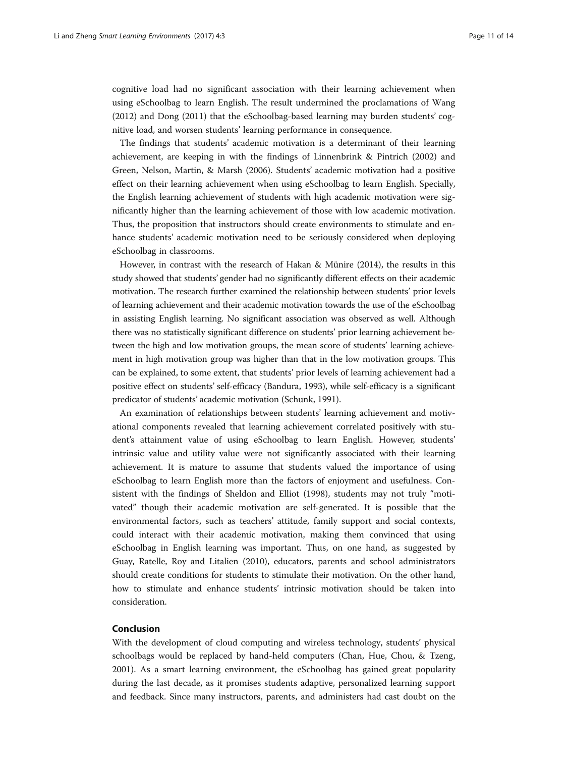cognitive load had no significant association with their learning achievement when using eSchoolbag to learn English. The result undermined the proclamations of Wang ([2012](#page-13-0)) and Dong [\(2011\)](#page-12-0) that the eSchoolbag-based learning may burden students' cognitive load, and worsen students' learning performance in consequence.

The findings that students' academic motivation is a determinant of their learning achievement, are keeping in with the findings of Linnenbrink & Pintrich [\(2002](#page-12-0)) and Green, Nelson, Martin, & Marsh [\(2006\)](#page-12-0). Students' academic motivation had a positive effect on their learning achievement when using eSchoolbag to learn English. Specially, the English learning achievement of students with high academic motivation were significantly higher than the learning achievement of those with low academic motivation. Thus, the proposition that instructors should create environments to stimulate and enhance students' academic motivation need to be seriously considered when deploying eSchoolbag in classrooms.

However, in contrast with the research of Hakan & Münire [\(2014\)](#page-12-0), the results in this study showed that students' gender had no significantly different effects on their academic motivation. The research further examined the relationship between students' prior levels of learning achievement and their academic motivation towards the use of the eSchoolbag in assisting English learning. No significant association was observed as well. Although there was no statistically significant difference on students' prior learning achievement between the high and low motivation groups, the mean score of students' learning achievement in high motivation group was higher than that in the low motivation groups. This can be explained, to some extent, that students' prior levels of learning achievement had a positive effect on students' self-efficacy (Bandura, [1993](#page-11-0)), while self-efficacy is a significant predicator of students' academic motivation (Schunk, [1991](#page-12-0)).

An examination of relationships between students' learning achievement and motivational components revealed that learning achievement correlated positively with student's attainment value of using eSchoolbag to learn English. However, students' intrinsic value and utility value were not significantly associated with their learning achievement. It is mature to assume that students valued the importance of using eSchoolbag to learn English more than the factors of enjoyment and usefulness. Consistent with the findings of Sheldon and Elliot [\(1998\)](#page-12-0), students may not truly "motivated" though their academic motivation are self-generated. It is possible that the environmental factors, such as teachers' attitude, family support and social contexts, could interact with their academic motivation, making them convinced that using eSchoolbag in English learning was important. Thus, on one hand, as suggested by Guay, Ratelle, Roy and Litalien ([2010](#page-12-0)), educators, parents and school administrators should create conditions for students to stimulate their motivation. On the other hand, how to stimulate and enhance students' intrinsic motivation should be taken into consideration.

### Conclusion

With the development of cloud computing and wireless technology, students' physical schoolbags would be replaced by hand-held computers (Chan, Hue, Chou, & Tzeng, [2001](#page-11-0)). As a smart learning environment, the eSchoolbag has gained great popularity during the last decade, as it promises students adaptive, personalized learning support and feedback. Since many instructors, parents, and administers had cast doubt on the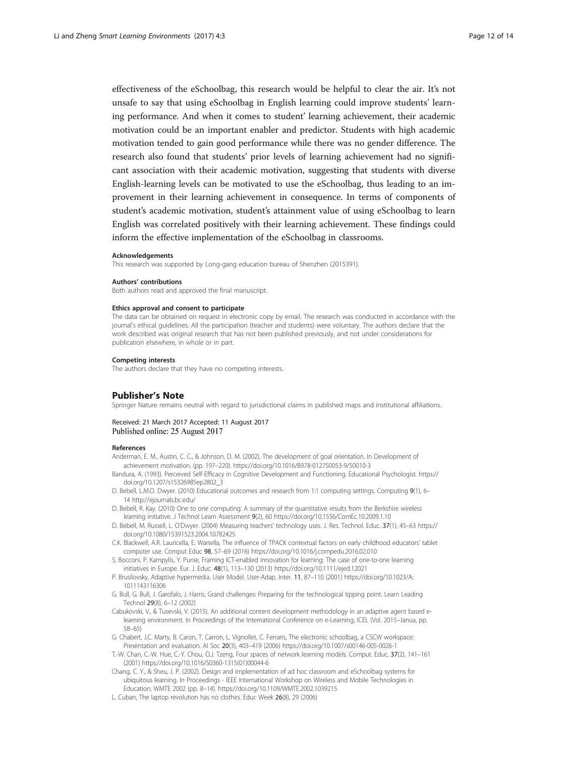<span id="page-11-0"></span>effectiveness of the eSchoolbag, this research would be helpful to clear the air. It's not unsafe to say that using eSchoolbag in English learning could improve students' learning performance. And when it comes to student' learning achievement, their academic motivation could be an important enabler and predictor. Students with high academic motivation tended to gain good performance while there was no gender difference. The research also found that students' prior levels of learning achievement had no significant association with their academic motivation, suggesting that students with diverse English-learning levels can be motivated to use the eSchoolbag, thus leading to an improvement in their learning achievement in consequence. In terms of components of student's academic motivation, student's attainment value of using eSchoolbag to learn English was correlated positively with their learning achievement. These findings could inform the effective implementation of the eSchoolbag in classrooms.

#### **Acknowledgements**

This research was supported by Long-gang education bureau of Shenzhen (2015391).

#### Authors' contributions

Both authors read and approved the final manuscript.

#### Ethics approval and consent to participate

The data can be obtained on request in electronic copy by email. The research was conducted in accordance with the journal's ethical guidelines. All the participation (teacher and students) were voluntary. The authors declare that the work described was original research that has not been published previously, and not under considerations for publication elsewhere, in whole or in part.

#### Competing interests

The authors declare that they have no competing interests.

### Publisher's Note

Springer Nature remains neutral with regard to jurisdictional claims in published maps and institutional affiliations.

### Received: 21 March 2017 Accepted: 11 August 2017 Published online: 25 August 2017

#### References

- Anderman, E. M., Austin, C. C., & Johnson, D. M. (2002). The development of goal orientation. In Development of achievement motivation. (pp. 197–220). [https://doi.org/10.1016/B978-012750053-9/50010-3](http://dx.doi.org/10.1016/B978-012750053-9/50010-3)
- Bandura, A. (1993). Perceived Self-Efficacy in Cognitive Development and Functioning. Educational Psychologist. [https://](http://dx.doi.org/10.1207/s15326985ep2802_3) [doi.org/10.1207/s15326985ep2802\\_3](http://dx.doi.org/10.1207/s15326985ep2802_3)
- D. Bebell, L.M.O. Dwyer. (2010) Educational outcomes and research from 1:1 computing settings. Computing 9(1), 6– 14 [http://ejournals.bc.edu/](https://doi.org/http://ejournals.bc.edu/)
- D. Bebell, R. Kay. (2010) One to one computing: A summary of the quantitative results from the Berkshire wireless learning initiative. J Technol Learn Assessment 9(2), 60 [https://doi.org/10.1556/ComEc.10.2009.1.10](http://dx.doi.org/10.1556/ComEc.10.2009.1.10)
- D. Bebell, M. Russell, L. O'Dwyer. (2004) Measuring teachers' technology uses. J. Res. Technol. Educ. 37(1), 45–63 [https://](http://dx.doi.org/10.1080/15391523.2004.10782425) [doi.org/10.1080/15391523.2004.10782425](http://dx.doi.org/10.1080/15391523.2004.10782425)
- C.K. Blackwell, A.R. Lauricella, E. Wartella, The influence of TPACK contextual factors on early childhood educators' tablet computer use. Comput Educ 98, 57–69 (2016) [https://doi.org/10.1016/j.compedu.2016.02.010](http://dx.doi.org/10.1016/j.compedu.2016.02.010)
- S. Bocconi, P. Kampylis, Y. Punie, Framing ICT-enabled innovation for learning: The case of one-to-one learning initiatives in Europe. Eur. J. Educ. 48(1), 113–130 (2013) [https://doi.org/10.1111/ejed.12021](http://dx.doi.org/10.1111/ejed.12021)
- P. Brusilovsky, Adaptive hypermedia. User Model. User-Adap. Inter. 11, 87–110 (2001) [https://doi.org/10.1023/A:](http://dx.doi.org/10.1023/A:1011143116306) [1011143116306](http://dx.doi.org/10.1023/A:1011143116306)
- G. Bull, G. Bull, J. Garofalo, J. Harris, Grand challenges: Preparing for the technological tipping point. Learn Leading Technol 29(8), 6–12 (2002)
- Cabukovski, V., & Tusevski, V. (2015). An additional content development methodology in an adaptive agent based elearning environment. In Proceedings of the International Conference on e-Learning, ICEL (Vol. 2015–Janua, pp. 58–65)
- G. Chabert, J.C. Marty, B. Caron, T. Carron, L. Vignollet, C. Ferraris, The electronic schoolbag, a CSCW workspace: Presentation and evaluation. AI Soc 20(3), 403–419 (2006) [https://doi.org/10.1007/s00146-005-0026-1](http://dx.doi.org/10.1007/s00146-005-0026-1)
- T.-W. Chan, C.-W. Hue, C.-Y. Chou, O.J. Tzeng, Four spaces of network learning models. Comput. Educ. 37(2), 141-161 (2001) [https://doi.org/10.1016/S0360-1315\(](http://dx.doi.org/10.1016/S0360-1315)01)00044-6
- Chang, C. Y., & Sheu, J. P. (2002). Design and implementation of ad hoc classroom and eSchoolbag systems for ubiquitous learning. In Proceedings - IEEE International Workshop on Wireless and Mobile Technologies in Education, WMTE 2002 (pp. 8–14). [https://doi.org/10.1109/WMTE.2002.1039215](http://dx.doi.org/10.1109/WMTE.2002.1039215)
- L. Cuban, The laptop revolution has no clothes. Educ Week 26(8), 29 (2006)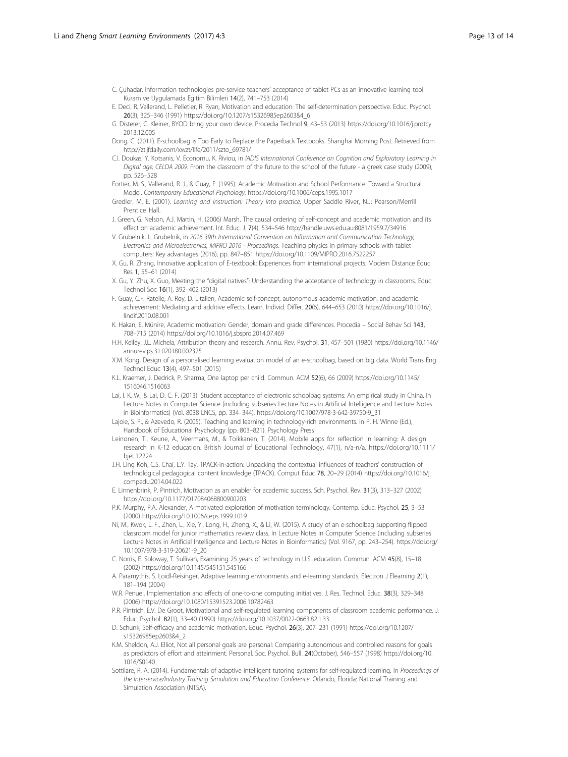- <span id="page-12-0"></span>C. Çuhadar, Information technologies pre-service teachers' acceptance of tablet PCs as an innovative learning tool. Kuram ve Uygulamada Egitim Bilimleri 14(2), 741–753 (2014)
- E. Deci, R. Vallerand, L. Pelletier, R. Ryan, Motivation and education: The self-determination perspective. Educ. Psychol. 26(3), 325–346 (1991) [https://doi.org/10.1207/s15326985ep2603&4\\_6](http://dx.doi.org/10.1207/s15326985ep2603&4_6)
- G. Disterer, C. Kleiner, BYOD bring your own device. Procedia Technol 9, 43–53 (2013) [https://doi.org/10.1016/j.protcy.](http://dx.doi.org/10.1016/j.protcy.2013.12.005) [2013.12.005](http://dx.doi.org/10.1016/j.protcy.2013.12.005)
- Dong, C. (2011). E-schoolbag is Too Early to Replace the Paperback Textbooks. Shanghai Morning Post. Retrieved from [http://zt.jfdaily.com/xwzt/life/2011/szto\\_69781/](http://zt.jfdaily.com/xwzt/life/2011/szto_69781/)
- C.I. Doukas, Y. Kotsanis, V. Economu, K. Riviou, in IADIS International Conference on Cognition and Exploratory Learning in Digital age, CELDA 2009. From the classroom of the future to the school of the future - a greek case study (2009), pp. 526–528
- Fortier, M. S., Vallerand, R. J., & Guay, F. (1995). Academic Motivation and School Performance: Toward a Structural Model. Contemporary Educational Psychology. [https://doi.org/10.1006/ceps.1995.1017](http://dx.doi.org/10.1006/ceps.1995.1017)
- Gredler, M. E. (2001). Learning and instruction: Theory into practice. Upper Saddle River, N.J: Pearson/Merrill Prentice Hall.
- J. Green, G. Nelson, A.J. Martin, H. (2006) Marsh, The causal ordering of self-concept and academic motivation and its effect on academic achievement. Int. Educ. J. 7(4), 534–546 [http://handle.uws.edu.au:8081/1959.7/34916](https://doi.org/http://handle.uws.edu.au:8081/1959.7/34916)
- V. Grubelnik, L. Grubelnik, in 2016 39th International Convention on Information and Communication Technology, Electronics and Microelectronics, MIPRO 2016 - Proceedings. Teaching physics in primary schools with tablet computers: Key advantages (2016), pp. 847–851 [https://doi.org/10.1109/MIPRO.2016.7522257](http://dx.doi.org/10.1109/MIPRO.2016.7522257)
- X. Gu, R. Zhang, Innovative application of E-textbook: Experiences from international projects. Modern Distance Educ Res 1, 55–61 (2014)
- X. Gu, Y. Zhu, X. Guo, Meeting the "digital natives": Understanding the acceptance of technology in classrooms. Educ Technol Soc 16(1), 392–402 (2013)
- F. Guay, C.F. Ratelle, A. Roy, D. Litalien, Academic self-concept, autonomous academic motivation, and academic achievement: Mediating and additive effects. Learn. Individ. Differ. 20(6), 644–653 (2010) [https://doi.org/10.1016/j.](http://dx.doi.org/10.1016/j.lindif.2010.08.001) [lindif.2010.08.001](http://dx.doi.org/10.1016/j.lindif.2010.08.001)
- K. Hakan, E. Münire, Academic motivation: Gender, domain and grade differences. Procedia Social Behav Sci 143, 708–715 (2014) [https://doi.org/10.1016/j.sbspro.2014.07.469](http://dx.doi.org/10.1016/j.sbspro.2014.07.469)
- H.H. Kelley, J.L. Michela, Attribution theory and research. Annu. Rev. Psychol. 31, 457–501 (1980) [https://doi.org/10.1146/](http://dx.doi.org/10.1146/annurev.ps.31.020180.002325) [annurev.ps.31.020180.002325](http://dx.doi.org/10.1146/annurev.ps.31.020180.002325)
- X.M. Kong, Design of a personalised learning evaluation model of an e-schoolbag, based on big data. World Trans Eng Technol Educ 13(4), 497–501 (2015)
- K.L. Kraemer, J. Dedrick, P. Sharma, One laptop per child. Commun. ACM 52(6), 66 (2009) [https://doi.org/10.1145/](http://dx.doi.org/10.1145/1516046.1516063) [1516046.1516063](http://dx.doi.org/10.1145/1516046.1516063)
- Lai, I. K. W., & Lai, D. C. F. (2013). Student acceptance of electronic schoolbag systems: An empirical study in China. In Lecture Notes in Computer Science (including subseries Lecture Notes in Artificial Intelligence and Lecture Notes in Bioinformatics) (Vol. 8038 LNCS, pp. 334–344). [https://doi.org/10.1007/978-3-642-39750-9\\_31](http://dx.doi.org/10.1007/978-3-642-39750-9_31)
- Lajoie, S. P., & Azevedo, R. (2005). Teaching and learning in technology-rich environments. In P. H. Winne (Ed.), Handbook of Educational Psychology (pp. 803–821). Psychology Press
- Leinonen, T., Keune, A., Veermans, M., & Toikkanen, T. (2014). Mobile apps for reflection in learning: A design research in K-12 education. British Journal of Educational Technology, 47(1), n/a-n/a. [https://doi.org/10.1111/](http://dx.doi.org/10.1111/bjet.12224) [bjet.12224](http://dx.doi.org/10.1111/bjet.12224)
- J.H. Ling Koh, C.S. Chai, L.Y. Tay, TPACK-in-action: Unpacking the contextual influences of teachers' construction of technological pedagogical content knowledge (TPACK). Comput Educ 78, 20–29 (2014) [https://doi.org/10.1016/j.](http://dx.doi.org/10.1016/j.compedu.2014.04.022) [compedu.2014.04.022](http://dx.doi.org/10.1016/j.compedu.2014.04.022)
- E. Linnenbrink, P. Pintrich, Motivation as an enabler for academic success. Sch. Psychol. Rev. 31(3), 313–327 (2002) [https://doi.org/10.1177/017084068800900203](http://dx.doi.org/10.1177/017084068800900203)
- P.K. Murphy, P.A. Alexander, A motivated exploration of motivation terminology. Contemp. Educ. Psychol. 25, 3–53 (2000) [https://doi.org/10.1006/ceps.1999.1019](http://dx.doi.org/10.1006/ceps.1999.1019)
- Ni, M., Kwok, L. F., Zhen, L., Xie, Y., Long, H., Zheng, X., & Li, W. (2015). A study of an e-schoolbag supporting flipped classroom model for junior mathematics review class. In Lecture Notes in Computer Science (including subseries Lecture Notes in Artificial Intelligence and Lecture Notes in Bioinformatics) (Vol. 9167, pp. 243–254). [https://doi.org/](http://dx.doi.org/10.1007/978-3-319-20621-9_20) [10.1007/978-3-319-20621-9\\_20](http://dx.doi.org/10.1007/978-3-319-20621-9_20)
- C. Norris, E. Soloway, T. Sullivan, Examining 25 years of technology in U.S. education. Commun. ACM 45(8), 15–18 (2002) [https://doi.org/10.1145/545151.545166](http://dx.doi.org/10.1145/545151.545166)
- A. Paramythis, S. Loidl-Reisinger, Adaptive learning environments and e-learning standards. Electron J Elearning 2(1), 181–194 (2004)
- W.R. Penuel, Implementation and effects of one-to-one computing initiatives. J. Res. Technol. Educ. 38(3), 329–348 (2006) [https://doi.org/10.1080/15391523.2006.10782463](http://dx.doi.org/10.1080/15391523.2006.10782463)
- P.R. Pintrich, E.V. De Groot, Motivational and self-regulated learning components of classroom academic performance. J. Educ. Psychol. 82(1), 33–40 (1990) [https://doi.org/10.1037/0022-0663.82.1.33](http://dx.doi.org/10.1037/0022-0663.82.1.33)
- D. Schunk, Self-efficacy and academic motivation. Educ. Psychol. 26(3), 207–231 (1991) [https://doi.org/10.1207/](http://dx.doi.org/10.1207/s15326985ep2603&4_2) [s15326985ep2603&4\\_2](http://dx.doi.org/10.1207/s15326985ep2603&4_2)
- K.M. Sheldon, A.J. Elliot, Not all personal goals are personal: Comparing autonomous and controlled reasons for goals as predictors of effort and attainment. Personal. Soc. Psychol. Bull. 24(October), 546–557 (1998) [https://doi.org/10.](http://dx.doi.org/10.1016/S0140) [1016/S0140](http://dx.doi.org/10.1016/S0140)
- Sottilare, R. A. (2014). Fundamentals of adaptive intelligent tutoring systems for self-regulated learning. In Proceedings of the Interservice/Industry Training Simulation and Education Conference. Orlando, Florida: National Training and Simulation Association (NTSA).